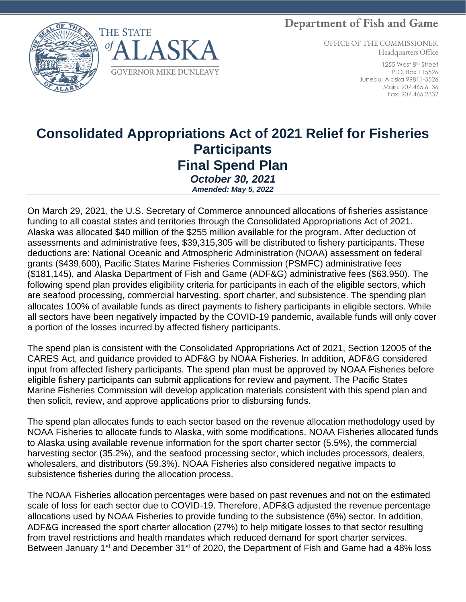## **Department of Fish and Game**





OFFICE OF THE COMMISSIONER Headquarters Office

> 1255 West 8th Street P.O. Box 115526 Juneau, Alaska 99811-5526 Main: 907.465.6136 Fax: 907.465.2332

## **Consolidated Appropriations Act of 2021 Relief for Fisheries Participants Final Spend Plan** *October 30, 2021 Amended: May 5, 2022*

On March 29, 2021, the U.S. Secretary of Commerce announced allocations of fisheries assistance funding to all coastal states and territories through the Consolidated Appropriations Act of 2021. Alaska was allocated \$40 million of the \$255 million available for the program. After deduction of assessments and administrative fees, \$39,315,305 will be distributed to fishery participants. These deductions are: National Oceanic and Atmospheric Administration (NOAA) assessment on federal grants (\$439,600), Pacific States Marine Fisheries Commission (PSMFC) administrative fees (\$181,145), and Alaska Department of Fish and Game (ADF&G) administrative fees (\$63,950). The following spend plan provides eligibility criteria for participants in each of the eligible sectors, which are seafood processing, commercial harvesting, sport charter, and subsistence. The spending plan allocates 100% of available funds as direct payments to fishery participants in eligible sectors. While all sectors have been negatively impacted by the COVID-19 pandemic, available funds will only cover a portion of the losses incurred by affected fishery participants.

The spend plan is consistent with the Consolidated Appropriations Act of 2021, Section 12005 of the CARES Act, and guidance provided to ADF&G by NOAA Fisheries. In addition, ADF&G considered input from affected fishery participants. The spend plan must be approved by NOAA Fisheries before eligible fishery participants can submit applications for review and payment. The Pacific States Marine Fisheries Commission will develop application materials consistent with this spend plan and then solicit, review, and approve applications prior to disbursing funds.

The spend plan allocates funds to each sector based on the revenue allocation methodology used by NOAA Fisheries to allocate funds to Alaska, with some modifications. NOAA Fisheries allocated funds to Alaska using available revenue information for the sport charter sector (5.5%), the commercial harvesting sector (35.2%), and the seafood processing sector, which includes processors, dealers, wholesalers, and distributors (59.3%). NOAA Fisheries also considered negative impacts to subsistence fisheries during the allocation process.

The NOAA Fisheries allocation percentages were based on past revenues and not on the estimated scale of loss for each sector due to COVID-19. Therefore, ADF&G adjusted the revenue percentage allocations used by NOAA Fisheries to provide funding to the subsistence (6%) sector. In addition, ADF&G increased the sport charter allocation (27%) to help mitigate losses to that sector resulting from travel restrictions and health mandates which reduced demand for sport charter services. Between January 1<sup>st</sup> and December 31<sup>st</sup> of 2020, the Department of Fish and Game had a 48% loss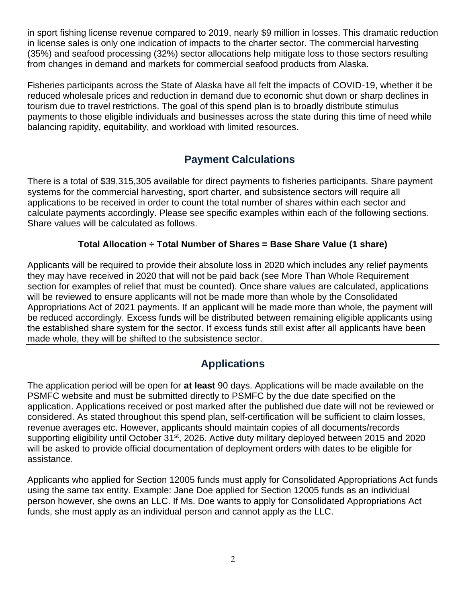in sport fishing license revenue compared to 2019, nearly \$9 million in losses. This dramatic reduction in license sales is only one indication of impacts to the charter sector. The commercial harvesting (35%) and seafood processing (32%) sector allocations help mitigate loss to those sectors resulting from changes in demand and markets for commercial seafood products from Alaska.

Fisheries participants across the State of Alaska have all felt the impacts of COVID-19, whether it be reduced wholesale prices and reduction in demand due to economic shut down or sharp declines in tourism due to travel restrictions. The goal of this spend plan is to broadly distribute stimulus payments to those eligible individuals and businesses across the state during this time of need while balancing rapidity, equitability, and workload with limited resources.

## **Payment Calculations**

There is a total of \$39,315,305 available for direct payments to fisheries participants. Share payment systems for the commercial harvesting, sport charter, and subsistence sectors will require all applications to be received in order to count the total number of shares within each sector and calculate payments accordingly. Please see specific examples within each of the following sections. Share values will be calculated as follows.

#### **Total Allocation ÷ Total Number of Shares = Base Share Value (1 share)**

Applicants will be required to provide their absolute loss in 2020 which includes any relief payments they may have received in 2020 that will not be paid back (see More Than Whole Requirement section for examples of relief that must be counted). Once share values are calculated, applications will be reviewed to ensure applicants will not be made more than whole by the Consolidated Appropriations Act of 2021 payments. If an applicant will be made more than whole, the payment will be reduced accordingly. Excess funds will be distributed between remaining eligible applicants using the established share system for the sector. If excess funds still exist after all applicants have been made whole, they will be shifted to the subsistence sector.

## **Applications**

The application period will be open for **at least** 90 days. Applications will be made available on the PSMFC website and must be submitted directly to PSMFC by the due date specified on the application. Applications received or post marked after the published due date will not be reviewed or considered. As stated throughout this spend plan, self-certification will be sufficient to claim losses, revenue averages etc. However, applicants should maintain copies of all documents/records supporting eligibility until October 31<sup>st</sup>, 2026. Active duty military deployed between 2015 and 2020 will be asked to provide official documentation of deployment orders with dates to be eligible for assistance.

Applicants who applied for Section 12005 funds must apply for Consolidated Appropriations Act funds using the same tax entity. Example: Jane Doe applied for Section 12005 funds as an individual person however, she owns an LLC. If Ms. Doe wants to apply for Consolidated Appropriations Act funds, she must apply as an individual person and cannot apply as the LLC.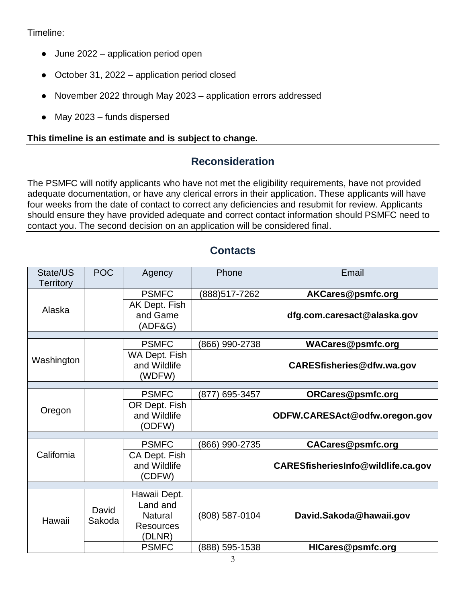Timeline:

- June 2022 application period open
- October 31, 2022 application period closed
- November 2022 through May 2023 application errors addressed
- May 2023 funds dispersed

#### **This timeline is an estimate and is subject to change.**

## **Reconsideration**

The PSMFC will notify applicants who have not met the eligibility requirements, have not provided adequate documentation, or have any clerical errors in their application. These applicants will have four weeks from the date of contact to correct any deficiencies and resubmit for review. Applicants should ensure they have provided adequate and correct contact information should PSMFC need to contact you. The second decision on an application will be considered final.

### **Contacts**

| State/US<br><b>Territory</b> | <b>POC</b>      | Agency                                                                   | Phone             | Email                              |
|------------------------------|-----------------|--------------------------------------------------------------------------|-------------------|------------------------------------|
|                              |                 | <b>PSMFC</b>                                                             | (888)517-7262     | AKCares@psmfc.org                  |
| Alaska                       |                 | AK Dept. Fish<br>and Game<br>(ADF&G)                                     |                   | dfg.com.caresact@alaska.gov        |
|                              |                 |                                                                          |                   |                                    |
|                              |                 | <b>PSMFC</b>                                                             | (866) 990-2738    | <b>WACares@psmfc.org</b>           |
| Washington                   |                 | WA Dept. Fish<br>and Wildlife<br>(WDFW)                                  |                   | <b>CARESfisheries@dfw.wa.gov</b>   |
|                              |                 |                                                                          |                   |                                    |
|                              |                 | <b>PSMFC</b>                                                             | (877)<br>695-3457 | <b>ORCares@psmfc.org</b>           |
| Oregon                       |                 | OR Dept. Fish<br>and Wildlife<br>(ODFW)                                  |                   | ODFW.CARESAct@odfw.oregon.gov      |
|                              |                 |                                                                          |                   |                                    |
|                              |                 | <b>PSMFC</b>                                                             | (866) 990-2735    | <b>CACares@psmfc.org</b>           |
| California                   |                 | CA Dept. Fish<br>and Wildlife<br>(CDFW)                                  |                   | CARESfisheriesInfo@wildlife.ca.gov |
|                              |                 |                                                                          |                   |                                    |
| Hawaii                       | David<br>Sakoda | Hawaii Dept.<br>Land and<br><b>Natural</b><br><b>Resources</b><br>(DLNR) | (808) 587-0104    | David.Sakoda@hawaii.gov            |
|                              |                 | <b>PSMFC</b>                                                             | (888) 595-1538    | <b>HICares@psmfc.org</b>           |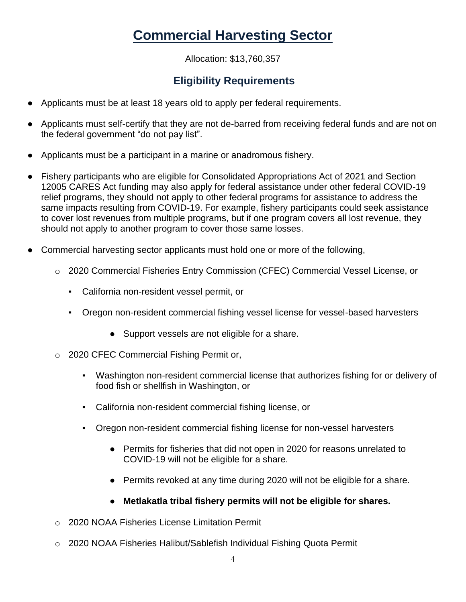# **Commercial Harvesting Sector**

Allocation: \$13,760,357

## **Eligibility Requirements**

- Applicants must be at least 18 years old to apply per federal requirements.
- Applicants must self-certify that they are not de-barred from receiving federal funds and are not on the federal government "do not pay list".
- Applicants must be a participant in a marine or anadromous fishery.
- Fishery participants who are eligible for Consolidated Appropriations Act of 2021 and Section 12005 CARES Act funding may also apply for federal assistance under other federal COVID-19 relief programs, they should not apply to other federal programs for assistance to address the same impacts resulting from COVID-19. For example, fishery participants could seek assistance to cover lost revenues from multiple programs, but if one program covers all lost revenue, they should not apply to another program to cover those same losses.
- Commercial harvesting sector applicants must hold one or more of the following,
	- o 2020 Commercial Fisheries Entry Commission (CFEC) Commercial Vessel License, or
		- California non-resident vessel permit, or
		- Oregon non-resident commercial fishing vessel license for vessel-based harvesters
			- Support vessels are not eligible for a share.
	- o 2020 CFEC Commercial Fishing Permit or,
		- Washington non-resident commercial license that authorizes fishing for or delivery of food fish or shellfish in Washington, or
		- California non-resident commercial fishing license, or
		- Oregon non-resident commercial fishing license for non-vessel harvesters
			- Permits for fisheries that did not open in 2020 for reasons unrelated to COVID-19 will not be eligible for a share.
			- Permits revoked at any time during 2020 will not be eligible for a share.
			- **Metlakatla tribal fishery permits will not be eligible for shares.**
	- o 2020 NOAA Fisheries License Limitation Permit
	- o 2020 NOAA Fisheries Halibut/Sablefish Individual Fishing Quota Permit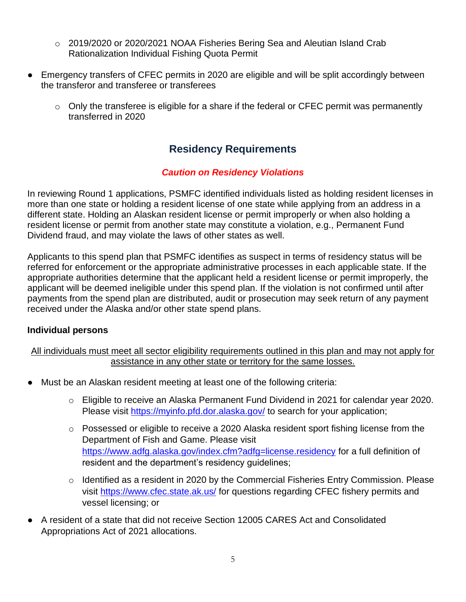- o 2019/2020 or 2020/2021 NOAA Fisheries Bering Sea and Aleutian Island Crab Rationalization Individual Fishing Quota Permit
- Emergency transfers of CFEC permits in 2020 are eligible and will be split accordingly between the transferor and transferee or transferees
	- $\circ$  Only the transferee is eligible for a share if the federal or CFEC permit was permanently transferred in 2020

## **Residency Requirements**

#### *Caution on Residency Violations*

In reviewing Round 1 applications, PSMFC identified individuals listed as holding resident licenses in more than one state or holding a resident license of one state while applying from an address in a different state. Holding an Alaskan resident license or permit improperly or when also holding a resident license or permit from another state may constitute a violation, e.g., Permanent Fund Dividend fraud, and may violate the laws of other states as well.

Applicants to this spend plan that PSMFC identifies as suspect in terms of residency status will be referred for enforcement or the appropriate administrative processes in each applicable state. If the appropriate authorities determine that the applicant held a resident license or permit improperly, the applicant will be deemed ineligible under this spend plan. If the violation is not confirmed until after payments from the spend plan are distributed, audit or prosecution may seek return of any payment received under the Alaska and/or other state spend plans.

#### **Individual persons**

#### All individuals must meet all sector eligibility requirements outlined in this plan and may not apply for assistance in any other state or territory for the same losses.

- Must be an Alaskan resident meeting at least one of the following criteria:
	- o Eligible to receive an Alaska Permanent Fund Dividend in 2021 for calendar year 2020. Please visit<https://myinfo.pfd.dor.alaska.gov/> to search for your application;
	- o Possessed or eligible to receive a 2020 Alaska resident sport fishing license from the Department of Fish and Game. Please visit <https://www.adfg.alaska.gov/index.cfm?adfg=license.residency> for a full definition of resident and the department's residency guidelines;
	- o Identified as a resident in 2020 by the Commercial Fisheries Entry Commission. Please visit<https://www.cfec.state.ak.us/> for questions regarding CFEC fishery permits and vessel licensing; or
- A resident of a state that did not receive Section 12005 CARES Act and Consolidated Appropriations Act of 2021 allocations.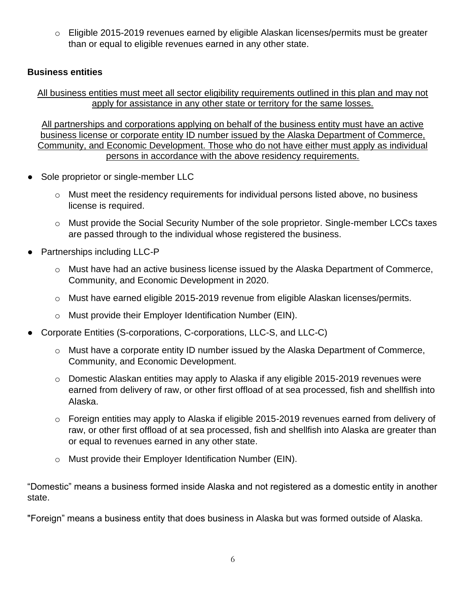o Eligible 2015-2019 revenues earned by eligible Alaskan licenses/permits must be greater than or equal to eligible revenues earned in any other state.

#### **Business entities**

All business entities must meet all sector eligibility requirements outlined in this plan and may not apply for assistance in any other state or territory for the same losses.

All partnerships and corporations applying on behalf of the business entity must have an active business license or corporate entity ID number issued by the Alaska Department of Commerce, Community, and Economic Development. Those who do not have either must apply as individual persons in accordance with the above residency requirements.

- Sole proprietor or single-member LLC
	- o Must meet the residency requirements for individual persons listed above, no business license is required.
	- o Must provide the Social Security Number of the sole proprietor. Single-member LCCs taxes are passed through to the individual whose registered the business.
- Partnerships including LLC-P
	- o Must have had an active business license issued by the Alaska Department of Commerce, Community, and Economic Development in 2020.
	- o Must have earned eligible 2015-2019 revenue from eligible Alaskan licenses/permits.
	- o Must provide their Employer Identification Number (EIN).
- Corporate Entities (S-corporations, C-corporations, LLC-S, and LLC-C)
	- o Must have a corporate entity ID number issued by the Alaska Department of Commerce, Community, and Economic Development.
	- o Domestic Alaskan entities may apply to Alaska if any eligible 2015-2019 revenues were earned from delivery of raw, or other first offload of at sea processed, fish and shellfish into Alaska.
	- o Foreign entities may apply to Alaska if eligible 2015-2019 revenues earned from delivery of raw, or other first offload of at sea processed, fish and shellfish into Alaska are greater than or equal to revenues earned in any other state.
	- o Must provide their Employer Identification Number (EIN).

"Domestic" means a business formed inside Alaska and not registered as a domestic entity in another state.

"Foreign" means a business entity that does business in Alaska but was formed outside of Alaska.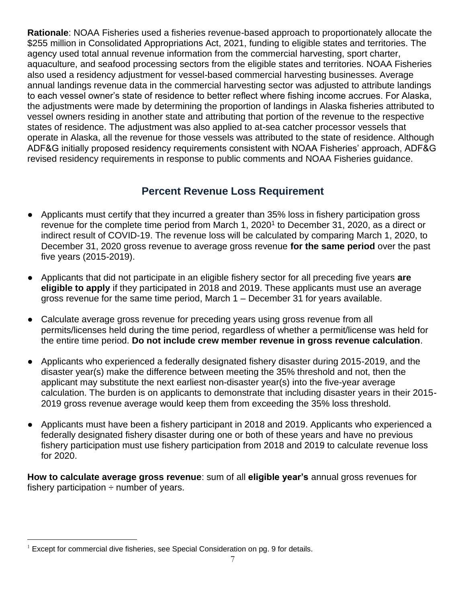**Rationale**: NOAA Fisheries used a fisheries revenue-based approach to proportionately allocate the \$255 million in Consolidated Appropriations Act, 2021, funding to eligible states and territories. The agency used total annual revenue information from the commercial harvesting, sport charter, aquaculture, and seafood processing sectors from the eligible states and territories. NOAA Fisheries also used a residency adjustment for vessel-based commercial harvesting businesses. Average annual landings revenue data in the commercial harvesting sector was adjusted to attribute landings to each vessel owner's state of residence to better reflect where fishing income accrues. For Alaska, the adjustments were made by determining the proportion of landings in Alaska fisheries attributed to vessel owners residing in another state and attributing that portion of the revenue to the respective states of residence. The adjustment was also applied to at-sea catcher processor vessels that operate in Alaska, all the revenue for those vessels was attributed to the state of residence. Although ADF&G initially proposed residency requirements consistent with NOAA Fisheries' approach, ADF&G revised residency requirements in response to public comments and NOAA Fisheries guidance.

### **Percent Revenue Loss Requirement**

- Applicants must certify that they incurred a greater than 35% loss in fishery participation gross revenue for the complete time period from March 1, 2020<sup>1</sup> to December 31, 2020, as a direct or indirect result of COVID-19. The revenue loss will be calculated by comparing March 1, 2020, to December 31, 2020 gross revenue to average gross revenue **for the same period** over the past five years (2015-2019).
- Applicants that did not participate in an eligible fishery sector for all preceding five years **are eligible to apply** if they participated in 2018 and 2019. These applicants must use an average gross revenue for the same time period, March 1 – December 31 for years available.
- Calculate average gross revenue for preceding years using gross revenue from all permits/licenses held during the time period, regardless of whether a permit/license was held for the entire time period. **Do not include crew member revenue in gross revenue calculation**.
- Applicants who experienced a federally designated fishery disaster during 2015-2019, and the disaster year(s) make the difference between meeting the 35% threshold and not, then the applicant may substitute the next earliest non-disaster year(s) into the five-year average calculation. The burden is on applicants to demonstrate that including disaster years in their 2015- 2019 gross revenue average would keep them from exceeding the 35% loss threshold.
- Applicants must have been a fishery participant in 2018 and 2019. Applicants who experienced a federally designated fishery disaster during one or both of these years and have no previous fishery participation must use fishery participation from 2018 and 2019 to calculate revenue loss for 2020.

**How to calculate average gross revenue**: sum of all **eligible year's** annual gross revenues for fishery participation  $\div$  number of years.

 $1$  Except for commercial dive fisheries, see Special Consideration on pg. 9 for details.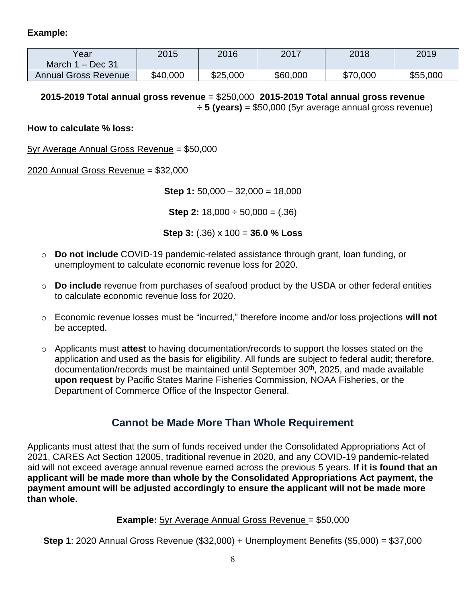**Example:** 

| Year                        | 2015     | 2016     | 2017     | 2018     | 2019     |
|-----------------------------|----------|----------|----------|----------|----------|
| March $1 - Dec 31$          |          |          |          |          |          |
| <b>Annual Gross Revenue</b> | \$40,000 | \$25,000 | \$60,000 | \$70,000 | \$55,000 |

**2015-2019 Total annual gross revenue** = \$250,000 **2015-2019 Total annual gross revenue ÷ 5 (years)** = \$50,000 (5yr average annual gross revenue)

#### **How to calculate % loss:**

5yr Average Annual Gross Revenue = \$50,000

2020 Annual Gross Revenue = \$32,000

**Step 1:** 50,000 – 32,000 = 18,000

**Step 2:** 18,000 ÷ 50,000 = (.36)

**Step 3:** (.36) x 100 = **36.0 % Loss**

- o **Do not include** COVID-19 pandemic-related assistance through grant, loan funding, or unemployment to calculate economic revenue loss for 2020.
- o **Do include** revenue from purchases of seafood product by the USDA or other federal entities to calculate economic revenue loss for 2020.
- o Economic revenue losses must be "incurred," therefore income and/or loss projections **will not** be accepted.
- o Applicants must **attest** to having documentation/records to support the losses stated on the application and used as the basis for eligibility. All funds are subject to federal audit; therefore, documentation/records must be maintained until September 30<sup>th</sup>, 2025, and made available **upon request** by Pacific States Marine Fisheries Commission, NOAA Fisheries, or the Department of Commerce Office of the Inspector General.

## **Cannot be Made More Than Whole Requirement**

Applicants must attest that the sum of funds received under the Consolidated Appropriations Act of 2021, CARES Act Section 12005, traditional revenue in 2020, and any COVID-19 pandemic-related aid will not exceed average annual revenue earned across the previous 5 years. **If it is found that an applicant will be made more than whole by the Consolidated Appropriations Act payment, the payment amount will be adjusted accordingly to ensure the applicant will not be made more than whole.** 

#### **Example:** 5yr Average Annual Gross Revenue = \$50,000

**Step 1**: 2020 Annual Gross Revenue (\$32,000) + Unemployment Benefits (\$5,000) = \$37,000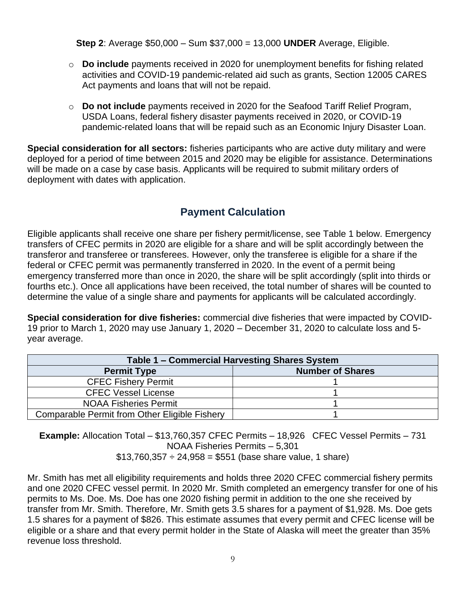**Step 2**: Average \$50,000 – Sum \$37,000 = 13,000 **UNDER** Average, Eligible.

- o **Do include** payments received in 2020 for unemployment benefits for fishing related activities and COVID-19 pandemic-related aid such as grants, Section 12005 CARES Act payments and loans that will not be repaid.
- o **Do not include** payments received in 2020 for the Seafood Tariff Relief Program, USDA Loans, federal fishery disaster payments received in 2020, or COVID-19 pandemic-related loans that will be repaid such as an Economic Injury Disaster Loan.

**Special consideration for all sectors:** fisheries participants who are active duty military and were deployed for a period of time between 2015 and 2020 may be eligible for assistance. Determinations will be made on a case by case basis. Applicants will be required to submit military orders of deployment with dates with application.

## **Payment Calculation**

Eligible applicants shall receive one share per fishery permit/license, see Table 1 below. Emergency transfers of CFEC permits in 2020 are eligible for a share and will be split accordingly between the transferor and transferee or transferees. However, only the transferee is eligible for a share if the federal or CFEC permit was permanently transferred in 2020. In the event of a permit being emergency transferred more than once in 2020, the share will be split accordingly (split into thirds or fourths etc.). Once all applications have been received, the total number of shares will be counted to determine the value of a single share and payments for applicants will be calculated accordingly.

**Special consideration for dive fisheries:** commercial dive fisheries that were impacted by COVID-19 prior to March 1, 2020 may use January 1, 2020 – December 31, 2020 to calculate loss and 5 year average.

| Table 1 – Commercial Harvesting Shares System |                         |  |  |  |
|-----------------------------------------------|-------------------------|--|--|--|
| <b>Permit Type</b>                            | <b>Number of Shares</b> |  |  |  |
| <b>CFEC Fishery Permit</b>                    |                         |  |  |  |
| <b>CFEC Vessel License</b>                    |                         |  |  |  |
| <b>NOAA Fisheries Permit</b>                  |                         |  |  |  |
| Comparable Permit from Other Eligible Fishery |                         |  |  |  |

**Example:** Allocation Total – \$13,760,357 CFEC Permits – 18,926 CFEC Vessel Permits – 731 NOAA Fisheries Permits – 5,301

 $$13,760,357 \div 24,958 = $551$  (base share value, 1 share)

Mr. Smith has met all eligibility requirements and holds three 2020 CFEC commercial fishery permits and one 2020 CFEC vessel permit. In 2020 Mr. Smith completed an emergency transfer for one of his permits to Ms. Doe. Ms. Doe has one 2020 fishing permit in addition to the one she received by transfer from Mr. Smith. Therefore, Mr. Smith gets 3.5 shares for a payment of \$1,928. Ms. Doe gets 1.5 shares for a payment of \$826. This estimate assumes that every permit and CFEC license will be eligible or a share and that every permit holder in the State of Alaska will meet the greater than 35% revenue loss threshold.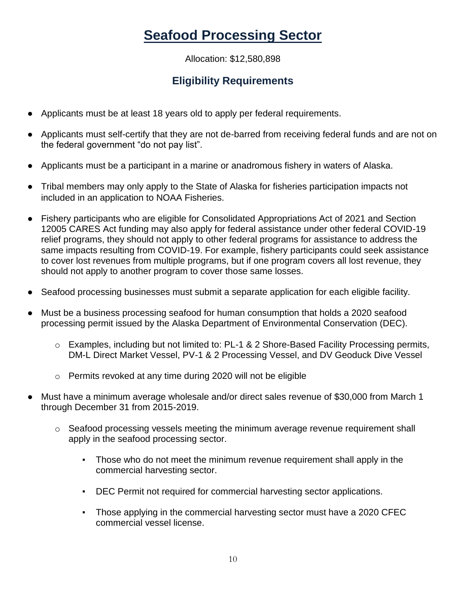# **Seafood Processing Sector**

Allocation: \$12,580,898

## **Eligibility Requirements**

- Applicants must be at least 18 years old to apply per federal requirements.
- Applicants must self-certify that they are not de-barred from receiving federal funds and are not on the federal government "do not pay list".
- Applicants must be a participant in a marine or anadromous fishery in waters of Alaska.
- Tribal members may only apply to the State of Alaska for fisheries participation impacts not included in an application to NOAA Fisheries.
- Fishery participants who are eligible for Consolidated Appropriations Act of 2021 and Section 12005 CARES Act funding may also apply for federal assistance under other federal COVID-19 relief programs, they should not apply to other federal programs for assistance to address the same impacts resulting from COVID-19. For example, fishery participants could seek assistance to cover lost revenues from multiple programs, but if one program covers all lost revenue, they should not apply to another program to cover those same losses.
- Seafood processing businesses must submit a separate application for each eligible facility.
- Must be a business processing seafood for human consumption that holds a 2020 seafood processing permit issued by the Alaska Department of Environmental Conservation (DEC).
	- o Examples, including but not limited to: PL-1 & 2 Shore-Based Facility Processing permits, DM-L Direct Market Vessel, PV-1 & 2 Processing Vessel, and DV Geoduck Dive Vessel
	- o Permits revoked at any time during 2020 will not be eligible
- Must have a minimum average wholesale and/or direct sales revenue of \$30,000 from March 1 through December 31 from 2015-2019.
	- o Seafood processing vessels meeting the minimum average revenue requirement shall apply in the seafood processing sector.
		- Those who do not meet the minimum revenue requirement shall apply in the commercial harvesting sector.
		- DEC Permit not required for commercial harvesting sector applications.
		- Those applying in the commercial harvesting sector must have a 2020 CFEC commercial vessel license.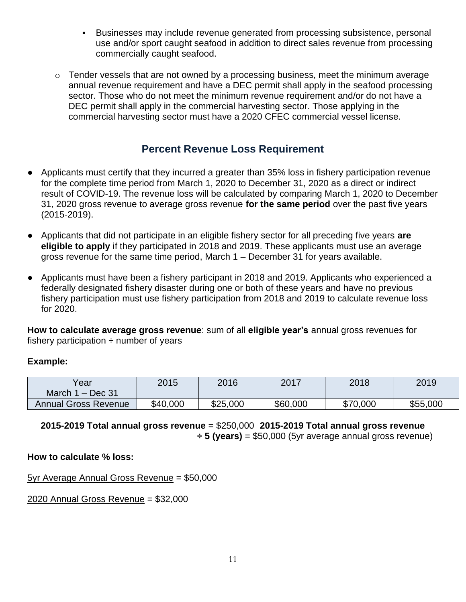- Businesses may include revenue generated from processing subsistence, personal use and/or sport caught seafood in addition to direct sales revenue from processing commercially caught seafood.
- $\circ$  Tender vessels that are not owned by a processing business, meet the minimum average annual revenue requirement and have a DEC permit shall apply in the seafood processing sector. Those who do not meet the minimum revenue requirement and/or do not have a DEC permit shall apply in the commercial harvesting sector. Those applying in the commercial harvesting sector must have a 2020 CFEC commercial vessel license.

### **Percent Revenue Loss Requirement**

- Applicants must certify that they incurred a greater than 35% loss in fishery participation revenue for the complete time period from March 1, 2020 to December 31, 2020 as a direct or indirect result of COVID-19. The revenue loss will be calculated by comparing March 1, 2020 to December 31, 2020 gross revenue to average gross revenue **for the same period** over the past five years (2015-2019).
- Applicants that did not participate in an eligible fishery sector for all preceding five years **are eligible to apply** if they participated in 2018 and 2019. These applicants must use an average gross revenue for the same time period, March 1 – December 31 for years available.
- Applicants must have been a fishery participant in 2018 and 2019. Applicants who experienced a federally designated fishery disaster during one or both of these years and have no previous fishery participation must use fishery participation from 2018 and 2019 to calculate revenue loss for 2020.

**How to calculate average gross revenue**: sum of all **eligible year's** annual gross revenues for fishery participation  $\div$  number of years

#### **Example:**

| Year                        | 2015     | 2016     | 2017     | 2018     | 2019     |
|-----------------------------|----------|----------|----------|----------|----------|
| March $1 - Dec 31$          |          |          |          |          |          |
| <b>Annual Gross Revenue</b> | \$40,000 | \$25,000 | \$60,000 | \$70,000 | \$55,000 |

**2015-2019 Total annual gross revenue** = \$250,000 **2015-2019 Total annual gross revenue ÷ 5 (years)** = \$50,000 (5yr average annual gross revenue)

**How to calculate % loss:**

5yr Average Annual Gross Revenue = \$50,000

2020 Annual Gross Revenue = \$32,000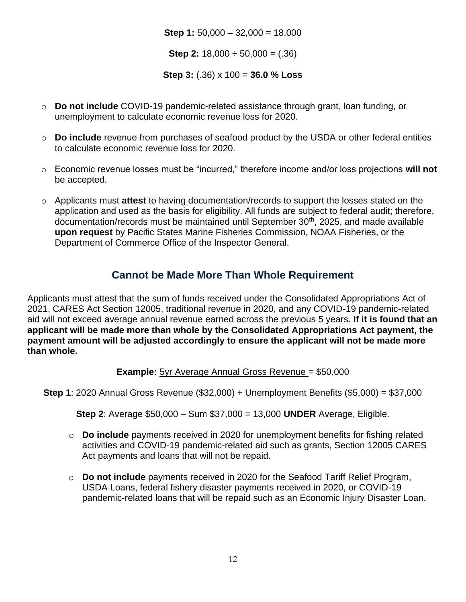**Step 1:** 50,000 – 32,000 = 18,000 **Step 2:**  $18,000 \div 50,000 = (.36)$ 

**Step 3:** (.36) x 100 = **36.0 % Loss**

- o **Do not include** COVID-19 pandemic-related assistance through grant, loan funding, or unemployment to calculate economic revenue loss for 2020.
- o **Do include** revenue from purchases of seafood product by the USDA or other federal entities to calculate economic revenue loss for 2020.
- o Economic revenue losses must be "incurred," therefore income and/or loss projections **will not** be accepted.
- o Applicants must **attest** to having documentation/records to support the losses stated on the application and used as the basis for eligibility. All funds are subject to federal audit; therefore, documentation/records must be maintained until September 30<sup>th</sup>, 2025, and made available **upon request** by Pacific States Marine Fisheries Commission, NOAA Fisheries, or the Department of Commerce Office of the Inspector General.

## **Cannot be Made More Than Whole Requirement**

Applicants must attest that the sum of funds received under the Consolidated Appropriations Act of 2021, CARES Act Section 12005, traditional revenue in 2020, and any COVID-19 pandemic-related aid will not exceed average annual revenue earned across the previous 5 years. **If it is found that an applicant will be made more than whole by the Consolidated Appropriations Act payment, the payment amount will be adjusted accordingly to ensure the applicant will not be made more than whole.** 

**Example:** 5yr Average Annual Gross Revenue = \$50,000

**Step 1**: 2020 Annual Gross Revenue (\$32,000) + Unemployment Benefits (\$5,000) = \$37,000

**Step 2**: Average \$50,000 – Sum \$37,000 = 13,000 **UNDER** Average, Eligible.

- o **Do include** payments received in 2020 for unemployment benefits for fishing related activities and COVID-19 pandemic-related aid such as grants, Section 12005 CARES Act payments and loans that will not be repaid.
- o **Do not include** payments received in 2020 for the Seafood Tariff Relief Program, USDA Loans, federal fishery disaster payments received in 2020, or COVID-19 pandemic-related loans that will be repaid such as an Economic Injury Disaster Loan.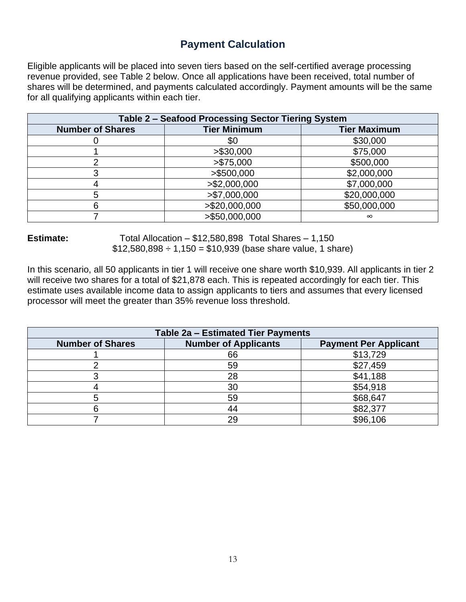## **Payment Calculation**

Eligible applicants will be placed into seven tiers based on the self-certified average processing revenue provided, see Table 2 below. Once all applications have been received, total number of shares will be determined, and payments calculated accordingly. Payment amounts will be the same for all qualifying applicants within each tier.

| Table 2 - Seafood Processing Sector Tiering System |                     |                     |  |  |
|----------------------------------------------------|---------------------|---------------------|--|--|
| <b>Number of Shares</b>                            | <b>Tier Minimum</b> | <b>Tier Maximum</b> |  |  |
|                                                    | \$0                 | \$30,000            |  |  |
|                                                    | > \$30,000          | \$75,000            |  |  |
|                                                    | > \$75,000          | \$500,000           |  |  |
|                                                    | > \$500,000         | \$2,000,000         |  |  |
|                                                    | > \$2,000,000       | \$7,000,000         |  |  |
|                                                    | > \$7,000,000       | \$20,000,000        |  |  |
| 6                                                  | > \$20,000,000      | \$50,000,000        |  |  |
|                                                    | >\$50,000,000       | $\infty$            |  |  |

**Estimate:** Total Allocation – \$12,580,898 Total Shares – 1,150  $$12,580,898 \div 1,150 = $10,939$  (base share value, 1 share)

In this scenario, all 50 applicants in tier 1 will receive one share worth \$10,939. All applicants in tier 2 will receive two shares for a total of \$21,878 each. This is repeated accordingly for each tier. This estimate uses available income data to assign applicants to tiers and assumes that every licensed processor will meet the greater than 35% revenue loss threshold.

| Table 2a - Estimated Tier Payments |                             |                              |  |  |
|------------------------------------|-----------------------------|------------------------------|--|--|
| <b>Number of Shares</b>            | <b>Number of Applicants</b> | <b>Payment Per Applicant</b> |  |  |
|                                    | 66                          | \$13,729                     |  |  |
|                                    | 59                          | \$27,459                     |  |  |
|                                    | 28                          | \$41,188                     |  |  |
|                                    | 30                          | \$54,918                     |  |  |
|                                    | 59                          | \$68,647                     |  |  |
|                                    |                             | \$82,377                     |  |  |
|                                    |                             | \$96,106                     |  |  |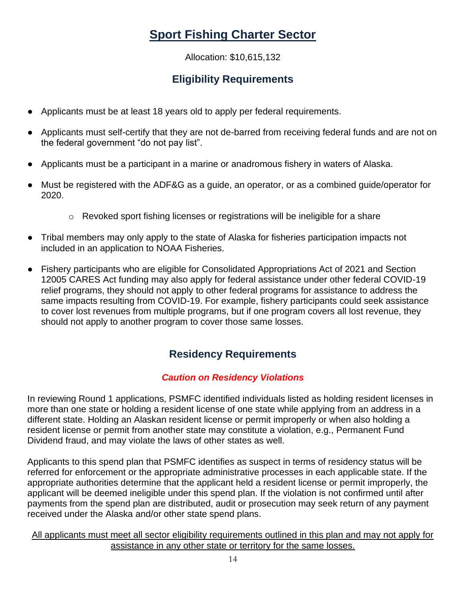## **Sport Fishing Charter Sector**

Allocation: \$10,615,132

## **Eligibility Requirements**

- Applicants must be at least 18 years old to apply per federal requirements.
- Applicants must self-certify that they are not de-barred from receiving federal funds and are not on the federal government "do not pay list".
- Applicants must be a participant in a marine or anadromous fishery in waters of Alaska.
- Must be registered with the ADF&G as a guide, an operator, or as a combined guide/operator for 2020.
	- $\circ$  Revoked sport fishing licenses or registrations will be ineligible for a share
- Tribal members may only apply to the state of Alaska for fisheries participation impacts not included in an application to NOAA Fisheries.
- Fishery participants who are eligible for Consolidated Appropriations Act of 2021 and Section 12005 CARES Act funding may also apply for federal assistance under other federal COVID-19 relief programs, they should not apply to other federal programs for assistance to address the same impacts resulting from COVID-19. For example, fishery participants could seek assistance to cover lost revenues from multiple programs, but if one program covers all lost revenue, they should not apply to another program to cover those same losses.

## **Residency Requirements**

#### *Caution on Residency Violations*

In reviewing Round 1 applications, PSMFC identified individuals listed as holding resident licenses in more than one state or holding a resident license of one state while applying from an address in a different state. Holding an Alaskan resident license or permit improperly or when also holding a resident license or permit from another state may constitute a violation, e.g., Permanent Fund Dividend fraud, and may violate the laws of other states as well.

Applicants to this spend plan that PSMFC identifies as suspect in terms of residency status will be referred for enforcement or the appropriate administrative processes in each applicable state. If the appropriate authorities determine that the applicant held a resident license or permit improperly, the applicant will be deemed ineligible under this spend plan. If the violation is not confirmed until after payments from the spend plan are distributed, audit or prosecution may seek return of any payment received under the Alaska and/or other state spend plans.

#### All applicants must meet all sector eligibility requirements outlined in this plan and may not apply for assistance in any other state or territory for the same losses.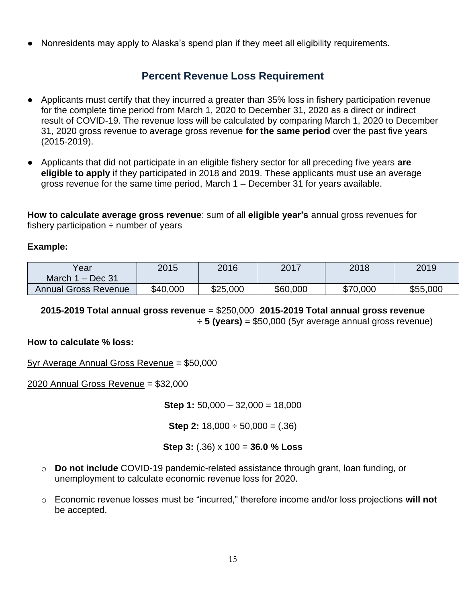● Nonresidents may apply to Alaska's spend plan if they meet all eligibility requirements.

#### **Percent Revenue Loss Requirement**

- Applicants must certify that they incurred a greater than 35% loss in fishery participation revenue for the complete time period from March 1, 2020 to December 31, 2020 as a direct or indirect result of COVID-19. The revenue loss will be calculated by comparing March 1, 2020 to December 31, 2020 gross revenue to average gross revenue **for the same period** over the past five years (2015-2019).
- Applicants that did not participate in an eligible fishery sector for all preceding five years **are eligible to apply** if they participated in 2018 and 2019. These applicants must use an average gross revenue for the same time period, March 1 – December 31 for years available.

**How to calculate average gross revenue**: sum of all **eligible year's** annual gross revenues for fishery participation  $\div$  number of years

#### **Example:**

| Year                        | 2015     | 2016     | 2017     | 2018     | 2019     |
|-----------------------------|----------|----------|----------|----------|----------|
| March $1 - Dec 31$          |          |          |          |          |          |
| <b>Annual Gross Revenue</b> | \$40,000 | \$25,000 | \$60,000 | \$70,000 | \$55,000 |

**2015-2019 Total annual gross revenue** = \$250,000 **2015-2019 Total annual gross revenue ÷ 5 (years)** = \$50,000 (5yr average annual gross revenue)

#### **How to calculate % loss:**

5yr Average Annual Gross Revenue = \$50,000

2020 Annual Gross Revenue = \$32,000

**Step 1:** 50,000 – 32,000 = 18,000

**Step 2:** 18,000 ÷ 50,000 = (.36)

**Step 3:** (.36) x 100 = **36.0 % Loss**

- o **Do not include** COVID-19 pandemic-related assistance through grant, loan funding, or unemployment to calculate economic revenue loss for 2020.
- o Economic revenue losses must be "incurred," therefore income and/or loss projections **will not** be accepted.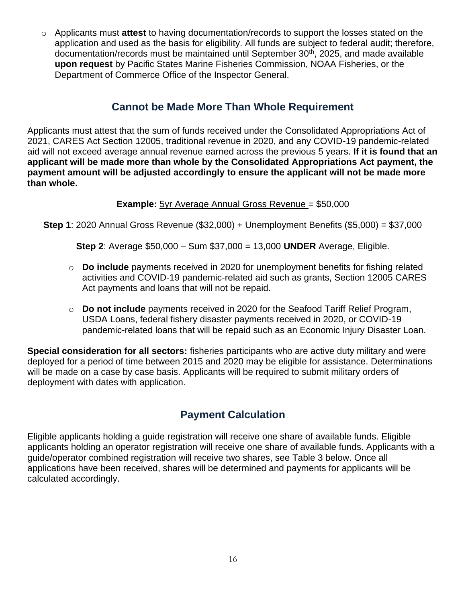o Applicants must **attest** to having documentation/records to support the losses stated on the application and used as the basis for eligibility. All funds are subject to federal audit; therefore, documentation/records must be maintained until September 30<sup>th</sup>, 2025, and made available **upon request** by Pacific States Marine Fisheries Commission, NOAA Fisheries, or the Department of Commerce Office of the Inspector General.

## **Cannot be Made More Than Whole Requirement**

Applicants must attest that the sum of funds received under the Consolidated Appropriations Act of 2021, CARES Act Section 12005, traditional revenue in 2020, and any COVID-19 pandemic-related aid will not exceed average annual revenue earned across the previous 5 years. **If it is found that an applicant will be made more than whole by the Consolidated Appropriations Act payment, the payment amount will be adjusted accordingly to ensure the applicant will not be made more than whole.** 

#### **Example:** 5yr Average Annual Gross Revenue = \$50,000

**Step 1**: 2020 Annual Gross Revenue (\$32,000) + Unemployment Benefits (\$5,000) = \$37,000

**Step 2**: Average \$50,000 – Sum \$37,000 = 13,000 **UNDER** Average, Eligible.

- o **Do include** payments received in 2020 for unemployment benefits for fishing related activities and COVID-19 pandemic-related aid such as grants, Section 12005 CARES Act payments and loans that will not be repaid.
- o **Do not include** payments received in 2020 for the Seafood Tariff Relief Program, USDA Loans, federal fishery disaster payments received in 2020, or COVID-19 pandemic-related loans that will be repaid such as an Economic Injury Disaster Loan.

**Special consideration for all sectors:** fisheries participants who are active duty military and were deployed for a period of time between 2015 and 2020 may be eligible for assistance. Determinations will be made on a case by case basis. Applicants will be required to submit military orders of deployment with dates with application.

### **Payment Calculation**

Eligible applicants holding a guide registration will receive one share of available funds. Eligible applicants holding an operator registration will receive one share of available funds. Applicants with a guide/operator combined registration will receive two shares, see Table 3 below. Once all applications have been received, shares will be determined and payments for applicants will be calculated accordingly.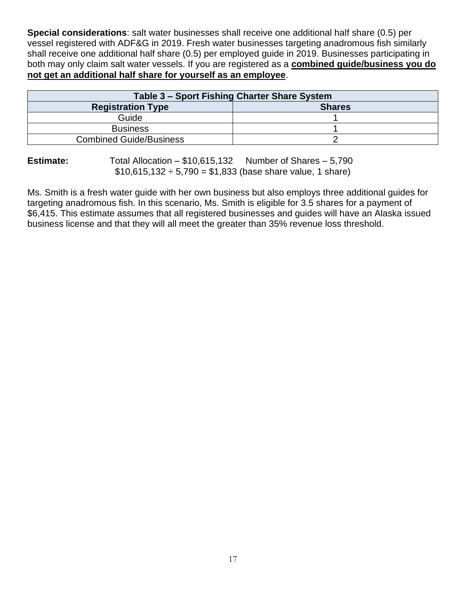**Special considerations**: salt water businesses shall receive one additional half share (0.5) per vessel registered with ADF&G in 2019. Fresh water businesses targeting anadromous fish similarly shall receive one additional half share (0.5) per employed guide in 2019. Businesses participating in both may only claim salt water vessels. If you are registered as a **combined guide/business you do not get an additional half share for yourself as an employee**.

| Table 3 – Sport Fishing Charter Share System |               |  |  |  |
|----------------------------------------------|---------------|--|--|--|
| <b>Registration Type</b>                     | <b>Shares</b> |  |  |  |
| Guide                                        |               |  |  |  |
| <b>Business</b>                              |               |  |  |  |
| <b>Combined Guide/Business</b>               |               |  |  |  |

**Estimate:** Total Allocation – \$10,615,132 Number of Shares – 5,790  $$10,615,132 \div 5,790 = $1,833$  (base share value, 1 share)

Ms. Smith is a fresh water guide with her own business but also employs three additional guides for targeting anadromous fish. In this scenario, Ms. Smith is eligible for 3.5 shares for a payment of \$6,415. This estimate assumes that all registered businesses and guides will have an Alaska issued business license and that they will all meet the greater than 35% revenue loss threshold.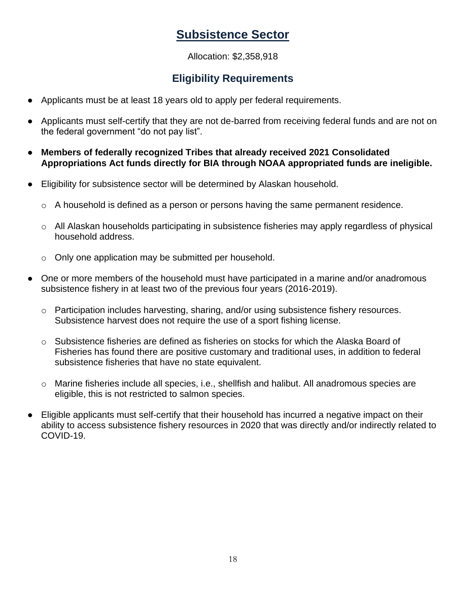## **Subsistence Sector**

Allocation: \$2,358,918

## **Eligibility Requirements**

- Applicants must be at least 18 years old to apply per federal requirements.
- Applicants must self-certify that they are not de-barred from receiving federal funds and are not on the federal government "do not pay list".
- **Members of federally recognized Tribes that already received 2021 Consolidated Appropriations Act funds directly for BIA through NOAA appropriated funds are ineligible.**
- Eligibility for subsistence sector will be determined by Alaskan household.
	- $\circ$  A household is defined as a person or persons having the same permanent residence.
	- o All Alaskan households participating in subsistence fisheries may apply regardless of physical household address.
	- o Only one application may be submitted per household.
- One or more members of the household must have participated in a marine and/or anadromous subsistence fishery in at least two of the previous four years (2016-2019).
	- o Participation includes harvesting, sharing, and/or using subsistence fishery resources. Subsistence harvest does not require the use of a sport fishing license.
	- $\circ$  Subsistence fisheries are defined as fisheries on stocks for which the Alaska Board of Fisheries has found there are positive customary and traditional uses, in addition to federal subsistence fisheries that have no state equivalent.
	- o Marine fisheries include all species, i.e., shellfish and halibut. All anadromous species are eligible, this is not restricted to salmon species.
- Eligible applicants must self-certify that their household has incurred a negative impact on their ability to access subsistence fishery resources in 2020 that was directly and/or indirectly related to COVID-19.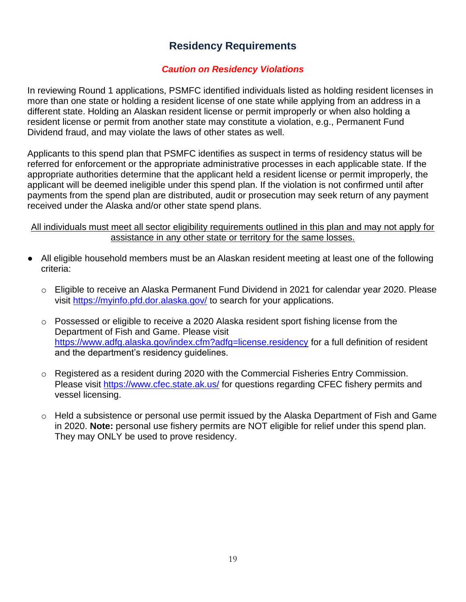## **Residency Requirements**

#### *Caution on Residency Violations*

In reviewing Round 1 applications, PSMFC identified individuals listed as holding resident licenses in more than one state or holding a resident license of one state while applying from an address in a different state. Holding an Alaskan resident license or permit improperly or when also holding a resident license or permit from another state may constitute a violation, e.g., Permanent Fund Dividend fraud, and may violate the laws of other states as well.

Applicants to this spend plan that PSMFC identifies as suspect in terms of residency status will be referred for enforcement or the appropriate administrative processes in each applicable state. If the appropriate authorities determine that the applicant held a resident license or permit improperly, the applicant will be deemed ineligible under this spend plan. If the violation is not confirmed until after payments from the spend plan are distributed, audit or prosecution may seek return of any payment received under the Alaska and/or other state spend plans.

All individuals must meet all sector eligibility requirements outlined in this plan and may not apply for assistance in any other state or territory for the same losses.

- All eligible household members must be an Alaskan resident meeting at least one of the following criteria:
	- o Eligible to receive an Alaska Permanent Fund Dividend in 2021 for calendar year 2020. Please visit<https://myinfo.pfd.dor.alaska.gov/> to search for your applications.
	- o Possessed or eligible to receive a 2020 Alaska resident sport fishing license from the Department of Fish and Game. Please visit <https://www.adfg.alaska.gov/index.cfm?adfg=license.residency> for a full definition of resident and the department's residency guidelines.
	- o Registered as a resident during 2020 with the Commercial Fisheries Entry Commission. Please visit<https://www.cfec.state.ak.us/> for questions regarding CFEC fishery permits and vessel licensing.
	- o Held a subsistence or personal use permit issued by the Alaska Department of Fish and Game in 2020. **Note:** personal use fishery permits are NOT eligible for relief under this spend plan. They may ONLY be used to prove residency.